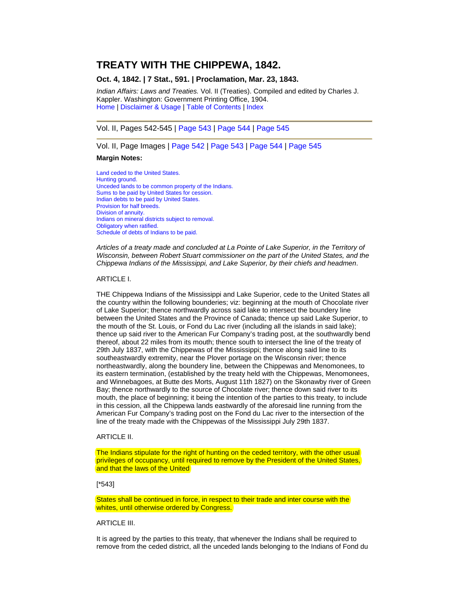# **TREATY WITH THE CHIPPEWA, 1842.**

# **Oct. 4, 1842. | 7 Stat., 591. | Proclamation, Mar. 23, 1843.**

*Indian Affairs: Laws and Treaties.* Vol. II (Treaties). Compiled and edited by Charles J. Kappler. Washington: Government Printing Office, 1904. Home | Disclaimer & Usage | Table of Contents | Index

# Vol. II, Pages 542-545 | Page 543 | Page 544 | Page 545

Vol. II, Page Images | Page 542 | Page 543 | Page 544 | Page 545

#### **Margin Notes:**

Land ceded to the United States. Hunting ground. Unceded lands to be common property of the Indians. Sums to be paid by United States for cession. Indian debts to be paid by United States. Provision for half breeds. Division of annuity. Indians on mineral districts subject to removal. Obligatory when ratified. Schedule of debts of Indians to be paid.

*Articles of a treaty made and concluded at La Pointe of Lake Superior, in the Territory of Wisconsin, between Robert Stuart commissioner on the part of the United States, and the Chippewa Indians of the Mississippi, and Lake Superior, by their chiefs and headmen*.

### ARTICLE I.

THE Chippewa Indians of the Mississippi and Lake Superior, cede to the United States all the country within the following bounderies; viz: beginning at the mouth of Chocolate river of Lake Superior; thence northwardly across said lake to intersect the boundery line between the United States and the Province of Canada; thence up said Lake Superior, to the mouth of the St. Louis, or Fond du Lac river (including all the islands in said lake); thence up said river to the American Fur Company's trading post, at the southwardly bend thereof, about 22 miles from its mouth; thence south to intersect the line of the treaty of 29th July 1837, with the Chippewas of the Mississippi; thence along said line to its southeastwardly extremity, near the Plover portage on the Wisconsin river; thence northeastwardly, along the boundery line, between the Chippewas and Menomonees, to its eastern termination, (established by the treaty held with the Chippewas, Menomonees, and Winnebagoes, at Butte des Morts, August 11th 1827) on the Skonawby river of Green Bay; thence northwardly to the source of Chocolate river; thence down said river to its mouth, the place of beginning; it being the intention of the parties to this treaty, to include in this cession, all the Chippewa lands eastwardly of the aforesaid line running from the American Fur Company's trading post on the Fond du Lac river to the intersection of the line of the treaty made with the Chippewas of the Mississippi July 29th 1837.

#### ARTICLE II.

The Indians stipulate for the right of hunting on the ceded territory, with the other usual privileges of occupancy, until required to remove by the President of the United States, and that the laws of the United

# [\*543]

States shall be continued in force, in respect to their trade and inter course with the whites, until otherwise ordered by Congress.

# ARTICLE III.

It is agreed by the parties to this treaty, that whenever the Indians shall be required to remove from the ceded district, all the unceded lands belonging to the Indians of Fond du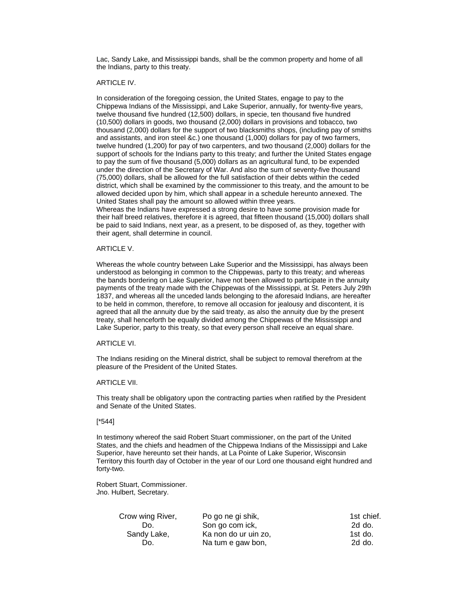Lac, Sandy Lake, and Mississippi bands, shall be the common property and home of all the Indians, party to this treaty.

### ARTICLE IV.

In consideration of the foregoing cession, the United States, engage to pay to the Chippewa Indians of the Mississippi, and Lake Superior, annually, for twenty-five years, twelve thousand five hundred (12,500) dollars, in specie, ten thousand five hundred (10,500) dollars in goods, two thousand (2,000) dollars in provisions and tobacco, two thousand (2,000) dollars for the support of two blacksmiths shops, (including pay of smiths and assistants, and iron steel &c.) one thousand (1,000) dollars for pay of two farmers, twelve hundred (1,200) for pay of two carpenters, and two thousand (2,000) dollars for the support of schools for the Indians party to this treaty; and further the United States engage to pay the sum of five thousand (5,000) dollars as an agricultural fund, to be expended under the direction of the Secretary of War. And also the sum of seventy-five thousand (75,000) dollars, shall be allowed for the full satisfaction of their debts within the ceded district, which shall be examined by the commissioner to this treaty, and the amount to be allowed decided upon by him, which shall appear in a schedule hereunto annexed. The United States shall pay the amount so allowed within three years.

Whereas the Indians have expressed a strong desire to have some provision made for their half breed relatives, therefore it is agreed, that fifteen thousand (15,000) dollars shall be paid to said Indians, next year, as a present, to be disposed of, as they, together with their agent, shall determine in council.

### ARTICLE V.

Whereas the whole country between Lake Superior and the Mississippi, has always been understood as belonging in common to the Chippewas, party to this treaty; and whereas the bands bordering on Lake Superior, have not been allowed to participate in the annuity payments of the treaty made with the Chippewas of the Mississippi, at St. Peters July 29th 1837, and whereas all the unceded lands belonging to the aforesaid Indians, are hereafter to be held in common, therefore, to remove all occasion for jealousy and discontent, it is agreed that all the annuity due by the said treaty, as also the annuity due by the present treaty, shall henceforth be equally divided among the Chippewas of the Mississippi and Lake Superior, party to this treaty, so that every person shall receive an equal share.

## ARTICLE VI.

The Indians residing on the Mineral district, shall be subject to removal therefrom at the pleasure of the President of the United States.

### ARTICLE VII.

This treaty shall be obligatory upon the contracting parties when ratified by the President and Senate of the United States.

## [\*544]

In testimony whereof the said Robert Stuart commissioner, on the part of the United States, and the chiefs and headmen of the Chippewa Indians of the Mississippi and Lake Superior, have hereunto set their hands, at La Pointe of Lake Superior, Wisconsin Territory this fourth day of October in the year of our Lord one thousand eight hundred and forty-two.

Robert Stuart, Commissioner. Jno. Hulbert, Secretary.

| Po go ne gi shik,    | 1st chief. |
|----------------------|------------|
| Son go com ick,      | 2d do.     |
| Ka non do ur uin zo, | 1st do.    |
| Na tum e gaw bon,    | 2d do.     |
|                      |            |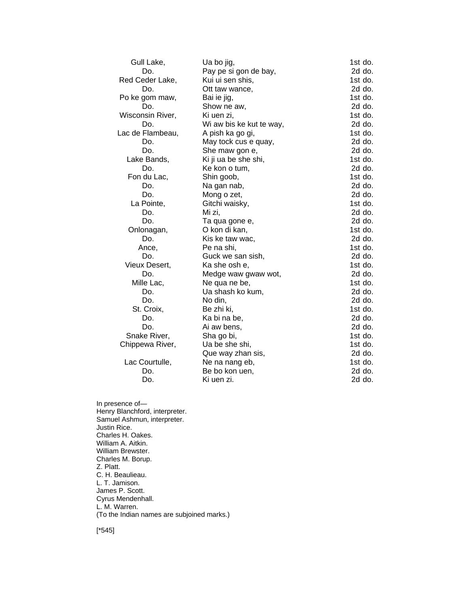| Gull Lake,       | Ua bo jig,               | 1st do.  |
|------------------|--------------------------|----------|
| Do.              | Pay pe si gon de bay,    | 2d do.   |
| Red Ceder Lake,  | Kui ui sen shis,         | 1st do.  |
| Do.              | Ott taw wance,           | 2d do.   |
| Po ke gom maw,   | Bai ie jig,              | 1st do.  |
| Do.              | Show ne aw,              | $2d$ do. |
| Wisconsin River, | Ki uen zi,               | 1st do.  |
| Do.              | Wi aw bis ke kut te way, | $2d$ do. |
| Lac de Flambeau, | A pish ka go gi,         | 1st do.  |
| Do.              | May tock cus e quay,     | 2d do.   |
| Do.              | She maw gon e,           | $2d$ do. |
| Lake Bands,      | Ki ji ua be she shi,     | 1st do.  |
| Do.              | Ke kon o tum,            | 2d do.   |
| Fon du Lac,      | Shin goob,               | 1st do.  |
| Do.              | Na gan nab,              | $2d$ do. |
| Do.              | Mong o zet,              | 2d do.   |
| La Pointe,       | Gitchi waisky,           | 1st do.  |
| Do.              | Mi zi,                   | 2d do.   |
| Do.              | Ta qua gone e,           | 2d do.   |
| Onlonagan,       | O kon di kan,            | 1st do.  |
| Do.              | Kis ke taw wac,          | $2d$ do. |
| Ance,            | Pe na shi,               | 1st do.  |
| Do.              | Guck we san sish,        | $2d$ do. |
| Vieux Desert,    | Ka she osh e,            | 1st do.  |
| Do.              | Medge waw gwaw wot,      | $2d$ do. |
| Mille Lac,       | Ne qua ne be,            | 1st do.  |
| Do.              | Ua shash ko kum,         | 2d do.   |
| Do.              | No din,                  | 2d do.   |
| St. Croix,       | Be zhi ki,               | 1st do.  |
| Do.              | Ka bi na be,             | 2d do.   |
| Do.              | Ai aw bens,              | 2d do.   |
| Snake River,     | Sha go bi,               | 1st do.  |
| Chippewa River,  | Ua be she shi,           | 1st do.  |
|                  | Que way zhan sis,        | 2d do.   |
| Lac Courtulle,   | Ne na nang eb,           | 1st do.  |
| Do.              | Be bo kon uen,           | 2d do.   |
| Do.              | Ki uen zi.               | 2d do.   |

In presence of— Henry Blanchford, interpreter. Samuel Ashmun, interpreter. Justin Rice. Charles H. Oakes. William A. Aitkin. William Brewster. Charles M. Borup. Z. Platt. C. H. Beaulieau. L. T. Jamison. James P. Scott. Cyrus Mendenhall. L. M. Warren. (To the Indian names are subjoined marks.)

[\*545]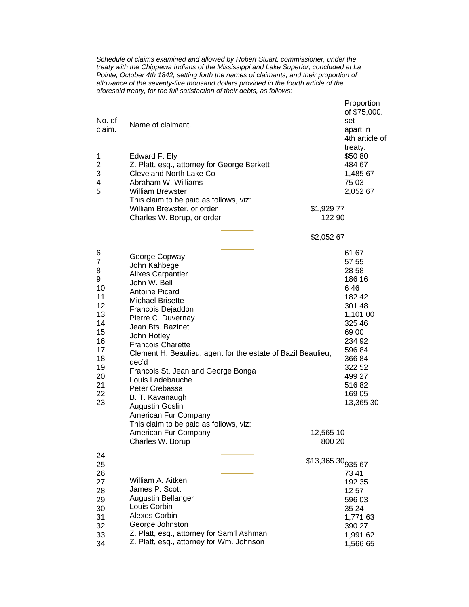*Schedule of claims examined and allowed by Robert Stuart, commissioner, under the treaty with the Chippewa Indians of the Mississippi and Lake Superior, concluded at La Pointe, October 4th 1842, setting forth the names of claimants, and their proportion of allowance of the seventy-five thousand dollars provided in the fourth article of the aforesaid treaty, for the full satisfaction of their debts, as follows:*

Proportion

| No. of<br>claim.                                                                                     | Name of claimant.                                                                                                                                                                                                                                                                                                                                                                                                                                                                                                                                 | of \$75,000.<br>set<br>apart in<br>4th article of                                                                                                                                                   |
|------------------------------------------------------------------------------------------------------|---------------------------------------------------------------------------------------------------------------------------------------------------------------------------------------------------------------------------------------------------------------------------------------------------------------------------------------------------------------------------------------------------------------------------------------------------------------------------------------------------------------------------------------------------|-----------------------------------------------------------------------------------------------------------------------------------------------------------------------------------------------------|
| 1<br>2<br>3<br>4<br>5                                                                                | Edward F. Ely<br>Z. Platt, esq., attorney for George Berkett<br><b>Cleveland North Lake Co</b><br>Abraham W. Williams<br><b>William Brewster</b>                                                                                                                                                                                                                                                                                                                                                                                                  | treaty.<br>\$50 80<br>484 67<br>1,485 67<br>75 03<br>2,052 67                                                                                                                                       |
|                                                                                                      | This claim to be paid as follows, viz:<br>William Brewster, or order<br>Charles W. Borup, or order                                                                                                                                                                                                                                                                                                                                                                                                                                                | \$1,929 77<br>122 90                                                                                                                                                                                |
|                                                                                                      |                                                                                                                                                                                                                                                                                                                                                                                                                                                                                                                                                   | \$2,052 67                                                                                                                                                                                          |
| 6<br>7<br>8<br>9<br>10<br>11<br>12<br>13<br>14<br>15<br>16<br>17<br>18<br>19<br>20<br>21<br>22<br>23 | George Copway<br>John Kahbege<br><b>Alixes Carpantier</b><br>John W. Bell<br><b>Antoine Picard</b><br><b>Michael Brisette</b><br>Francois Dejaddon<br>Pierre C. Duvernay<br>Jean Bts. Bazinet<br>John Hotley<br><b>Francois Charette</b><br>Clement H. Beaulieu, agent for the estate of Bazil Beaulieu,<br>dec'd<br>Francois St. Jean and George Bonga<br>Louis Ladebauche<br>Peter Crebassa<br>B. T. Kavanaugh<br>Augustin Goslin<br>American Fur Company<br>This claim to be paid as follows, viz:<br>American Fur Company<br>Charles W. Borup | 61 67<br>57 55<br>28 58<br>186 16<br>646<br>182 42<br>301 48<br>1,101 00<br>325 46<br>69 00<br>234 92<br>596 84<br>36684<br>322 52<br>499 27<br>51682<br>169 05<br>13,365 30<br>12,565 10<br>800 20 |
| 24<br>25<br>26<br>27<br>28<br>29<br>30<br>31<br>32<br>33<br>34                                       | William A. Aitken<br>James P. Scott<br>Augustin Bellanger<br>Louis Corbin<br>Alexes Corbin<br>George Johnston<br>Z. Platt, esq., attorney for Sam'l Ashman<br>Z. Platt, esq., attorney for Wm. Johnson                                                                                                                                                                                                                                                                                                                                            | \$13,365 30 <sub>935 67</sub><br>73 41<br>192 35<br>1257<br>596 03<br>35 24<br>1,771 63<br>390 27<br>1,991 62<br>1,566 65                                                                           |